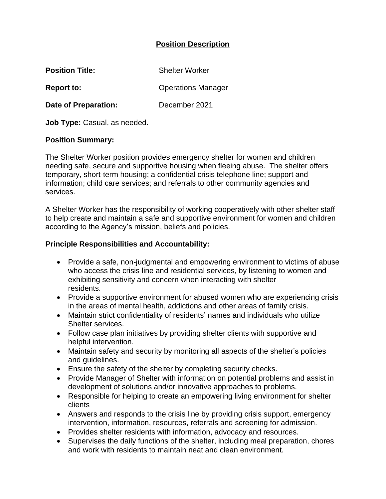## **Position Description**

| <b>Position Title:</b>      | <b>Shelter Worker</b>     |
|-----------------------------|---------------------------|
| <b>Report to:</b>           | <b>Operations Manager</b> |
| <b>Date of Preparation:</b> | December 2021             |

**Job Type:** Casual, as needed.

#### **Position Summary:**

The Shelter Worker position provides emergency shelter for women and children needing safe, secure and supportive housing when fleeing abuse. The shelter offers temporary, short-term housing; a confidential crisis telephone line; support and information; child care services; and referrals to other community agencies and services.

A Shelter Worker has the responsibility of working cooperatively with other shelter staff to help create and maintain a safe and supportive environment for women and children according to the Agency's mission, beliefs and policies.

### **Principle Responsibilities and Accountability:**

- Provide a safe, non-judgmental and empowering environment to victims of abuse who access the crisis line and residential services, by listening to women and exhibiting sensitivity and concern when interacting with shelter residents.
- Provide a supportive environment for abused women who are experiencing crisis in the areas of mental health, addictions and other areas of family crisis.
- Maintain strict confidentiality of residents' names and individuals who utilize Shelter services.
- Follow case plan initiatives by providing shelter clients with supportive and helpful intervention.
- Maintain safety and security by monitoring all aspects of the shelter's policies and guidelines.
- Ensure the safety of the shelter by completing security checks.
- Provide Manager of Shelter with information on potential problems and assist in development of solutions and/or innovative approaches to problems.
- Responsible for helping to create an empowering living environment for shelter clients
- Answers and responds to the crisis line by providing crisis support, emergency intervention, information, resources, referrals and screening for admission.
- Provides shelter residents with information, advocacy and resources.
- Supervises the daily functions of the shelter, including meal preparation, chores and work with residents to maintain neat and clean environment.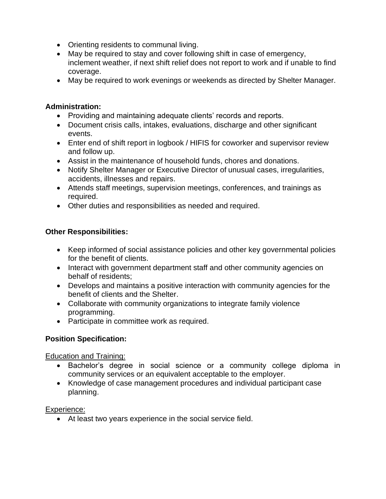- Orienting residents to communal living.
- May be required to stay and cover following shift in case of emergency, inclement weather, if next shift relief does not report to work and if unable to find coverage.
- May be required to work evenings or weekends as directed by Shelter Manager.

### **Administration:**

- Providing and maintaining adequate clients' records and reports.
- Document crisis calls, intakes, evaluations, discharge and other significant events.
- Enter end of shift report in logbook / HIFIS for coworker and supervisor review and follow up.
- Assist in the maintenance of household funds, chores and donations.
- Notify Shelter Manager or Executive Director of unusual cases, irregularities, accidents, illnesses and repairs.
- Attends staff meetings, supervision meetings, conferences, and trainings as required.
- Other duties and responsibilities as needed and required.

# **Other Responsibilities:**

- Keep informed of social assistance policies and other key governmental policies for the benefit of clients.
- Interact with government department staff and other community agencies on behalf of residents;
- Develops and maintains a positive interaction with community agencies for the benefit of clients and the Shelter.
- Collaborate with community organizations to integrate family violence programming.
- Participate in committee work as required.

# **Position Specification:**

Education and Training:

- Bachelor's degree in social science or a community college diploma in community services or an equivalent acceptable to the employer.
- Knowledge of case management procedures and individual participant case planning.

### Experience:

• At least two years experience in the social service field.